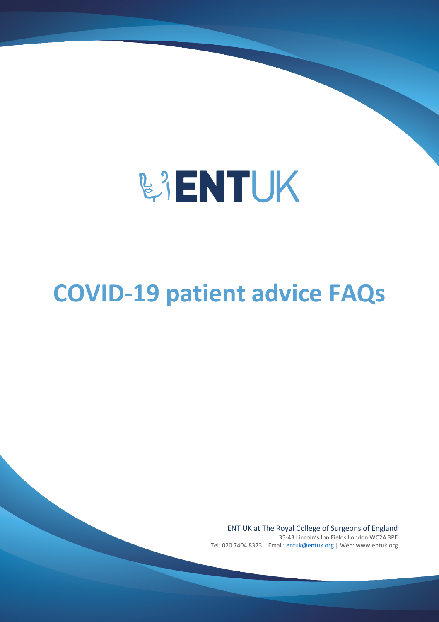

# **COVID-19 patient advice FAQs**

ENT UK at The Royal College of Surgeons of England 35-43 Lincoln's Inn Fields London WC2A 3PE Tel: 020 7404 8373 | Email: [entuk@entuk.org](mailto:entuk@entuk.org) | Web: www.entuk.org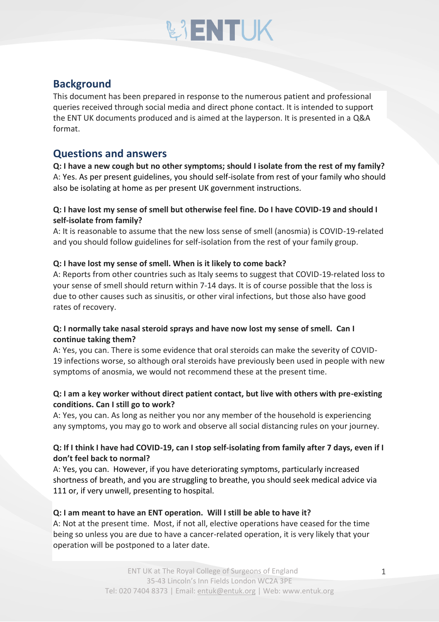# **WENTUK**

# **Background**

This document has been prepared in response to the numerous patient and professional queries received through social media and direct phone contact. It is intended to support the ENT UK documents produced and is aimed at the layperson. It is presented in a Q&A format.

# **Questions and answers**

**Q: I have a new cough but no other symptoms; should I isolate from the rest of my family?** A: Yes. As per present guidelines, you should self-isolate from rest of your family who should also be isolating at home as per present UK government instructions.

#### **Q: I have lost my sense of smell but otherwise feel fine. Do I have COVID-19 and should I self-isolate from family?**

A: It is reasonable to assume that the new loss sense of smell (anosmia) is COVID-19-related and you should follow guidelines for self-isolation from the rest of your family group.

#### **Q: I have lost my sense of smell. When is it likely to come back?**

A: Reports from other countries such as Italy seems to suggest that COVID-19-related loss to your sense of smell should return within 7-14 days. It is of course possible that the loss is due to other causes such as sinusitis, or other viral infections, but those also have good rates of recovery.

#### **Q: I normally take nasal steroid sprays and have now lost my sense of smell. Can I continue taking them?**

A: Yes, you can. There is some evidence that oral steroids can make the severity of COVID-19 infections worse, so although oral steroids have previously been used in people with new symptoms of anosmia, we would not recommend these at the present time.

#### **Q: I am a key worker without direct patient contact, but live with others with pre-existing conditions. Can I still go to work?**

A: Yes, you can. As long as neither you nor any member of the household is experiencing any symptoms, you may go to work and observe all social distancing rules on your journey.

#### **Q: If I think I have had COVID-19, can I stop self-isolating from family after 7 days, even if I don't feel back to normal?**

A: Yes, you can. However, if you have deteriorating symptoms, particularly increased shortness of breath, and you are struggling to breathe, you should seek medical advice via 111 or, if very unwell, presenting to hospital.

#### **Q: I am meant to have an ENT operation. Will I still be able to have it?**

A: Not at the present time. Most, if not all, elective operations have ceased for the time being so unless you are due to have a cancer-related operation, it is very likely that your operation will be postponed to a later date.